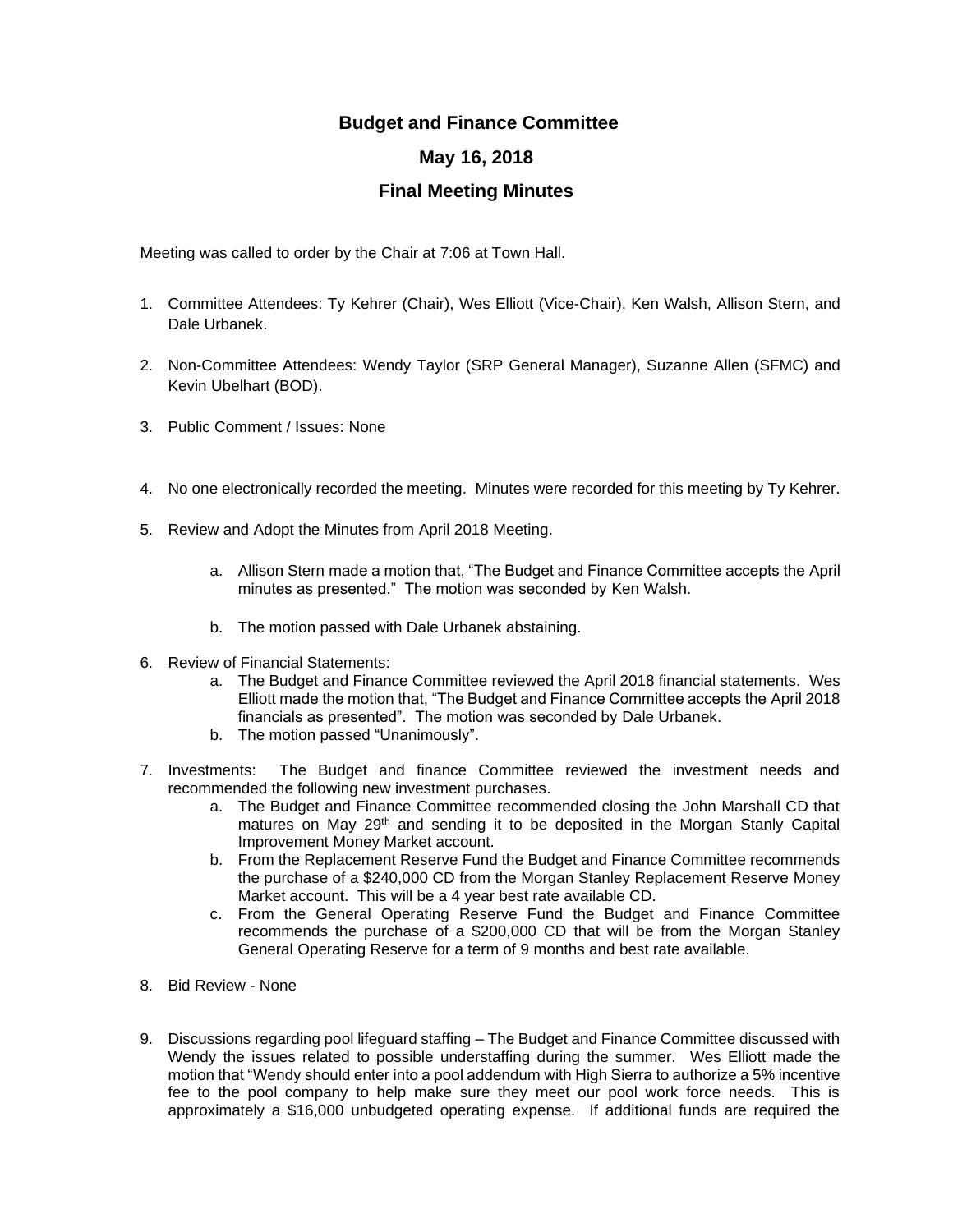## **Budget and Finance Committee May 16, 2018 Final Meeting Minutes**

Meeting was called to order by the Chair at 7:06 at Town Hall.

- 1. Committee Attendees: Ty Kehrer (Chair), Wes Elliott (Vice-Chair), Ken Walsh, Allison Stern, and Dale Urbanek.
- 2. Non-Committee Attendees: Wendy Taylor (SRP General Manager), Suzanne Allen (SFMC) and Kevin Ubelhart (BOD).
- 3. Public Comment / Issues: None
- 4. No one electronically recorded the meeting. Minutes were recorded for this meeting by Ty Kehrer.
- 5. Review and Adopt the Minutes from April 2018 Meeting.
	- a. Allison Stern made a motion that, "The Budget and Finance Committee accepts the April minutes as presented." The motion was seconded by Ken Walsh.
	- b. The motion passed with Dale Urbanek abstaining.
- 6. Review of Financial Statements:
	- a. The Budget and Finance Committee reviewed the April 2018 financial statements. Wes Elliott made the motion that, "The Budget and Finance Committee accepts the April 2018 financials as presented". The motion was seconded by Dale Urbanek.
	- b. The motion passed "Unanimously".
- 7. Investments: The Budget and finance Committee reviewed the investment needs and recommended the following new investment purchases.
	- a. The Budget and Finance Committee recommended closing the John Marshall CD that matures on May 29<sup>th</sup> and sending it to be deposited in the Morgan Stanly Capital Improvement Money Market account.
	- b. From the Replacement Reserve Fund the Budget and Finance Committee recommends the purchase of a \$240,000 CD from the Morgan Stanley Replacement Reserve Money Market account. This will be a 4 year best rate available CD.
	- c. From the General Operating Reserve Fund the Budget and Finance Committee recommends the purchase of a \$200,000 CD that will be from the Morgan Stanley General Operating Reserve for a term of 9 months and best rate available.
- 8. Bid Review None
- 9. Discussions regarding pool lifeguard staffing The Budget and Finance Committee discussed with Wendy the issues related to possible understaffing during the summer. Wes Elliott made the motion that "Wendy should enter into a pool addendum with High Sierra to authorize a 5% incentive fee to the pool company to help make sure they meet our pool work force needs. This is approximately a \$16,000 unbudgeted operating expense. If additional funds are required the